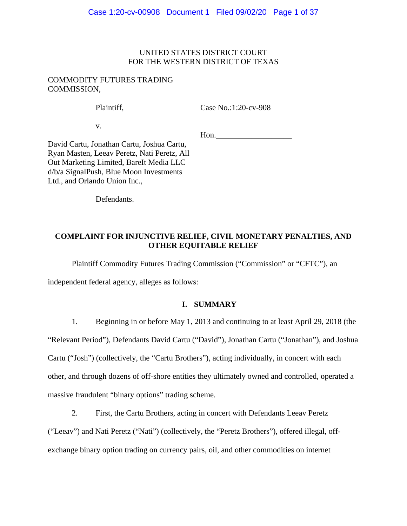## UNITED STATES DISTRICT COURT FOR THE WESTERN DISTRICT OF TEXAS

## COMMODITY FUTURES TRADING COMMISSION,

Plaintiff,

Case No.:1:20-cv-908

v.

Hon.

David Cartu, Jonathan Cartu, Joshua Cartu, Ryan Masten, Leeav Peretz, Nati Peretz, All Out Marketing Limited, BareIt Media LLC d/b/a SignalPush, Blue Moon Investments Ltd., and Orlando Union Inc.,

Defendants.

# **COMPLAINT FOR INJUNCTIVE RELIEF, CIVIL MONETARY PENALTIES, AND OTHER EQUITABLE RELIEF**

Plaintiff Commodity Futures Trading Commission ("Commission" or "CFTC"), an

independent federal agency, alleges as follows:

# **I. SUMMARY**

1. Beginning in or before May 1, 2013 and continuing to at least April 29, 2018 (the

"Relevant Period"), Defendants David Cartu ("David"), Jonathan Cartu ("Jonathan"), and Joshua

Cartu ("Josh") (collectively, the "Cartu Brothers"), acting individually, in concert with each

other, and through dozens of off-shore entities they ultimately owned and controlled, operated a

massive fraudulent "binary options" trading scheme.

2. First, the Cartu Brothers, acting in concert with Defendants Leeav Peretz

("Leeav") and Nati Peretz ("Nati") (collectively, the "Peretz Brothers"), offered illegal, off-

exchange binary option trading on currency pairs, oil, and other commodities on internet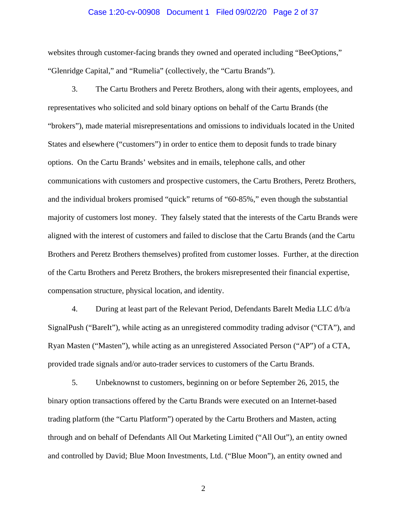#### Case 1:20-cv-00908 Document 1 Filed 09/02/20 Page 2 of 37

websites through customer-facing brands they owned and operated including "BeeOptions," "Glenridge Capital," and "Rumelia" (collectively, the "Cartu Brands").

3. The Cartu Brothers and Peretz Brothers, along with their agents, employees, and representatives who solicited and sold binary options on behalf of the Cartu Brands (the "brokers"), made material misrepresentations and omissions to individuals located in the United States and elsewhere ("customers") in order to entice them to deposit funds to trade binary options. On the Cartu Brands' websites and in emails, telephone calls, and other communications with customers and prospective customers, the Cartu Brothers, Peretz Brothers, and the individual brokers promised "quick" returns of "60-85%," even though the substantial majority of customers lost money. They falsely stated that the interests of the Cartu Brands were aligned with the interest of customers and failed to disclose that the Cartu Brands (and the Cartu Brothers and Peretz Brothers themselves) profited from customer losses. Further, at the direction of the Cartu Brothers and Peretz Brothers, the brokers misrepresented their financial expertise, compensation structure, physical location, and identity.

4. During at least part of the Relevant Period, Defendants BareIt Media LLC d/b/a SignalPush ("BareIt"), while acting as an unregistered commodity trading advisor ("CTA"), and Ryan Masten ("Masten"), while acting as an unregistered Associated Person ("AP") of a CTA, provided trade signals and/or auto-trader services to customers of the Cartu Brands.

5. Unbeknownst to customers, beginning on or before September 26, 2015, the binary option transactions offered by the Cartu Brands were executed on an Internet-based trading platform (the "Cartu Platform") operated by the Cartu Brothers and Masten, acting through and on behalf of Defendants All Out Marketing Limited ("All Out"), an entity owned and controlled by David; Blue Moon Investments, Ltd. ("Blue Moon"), an entity owned and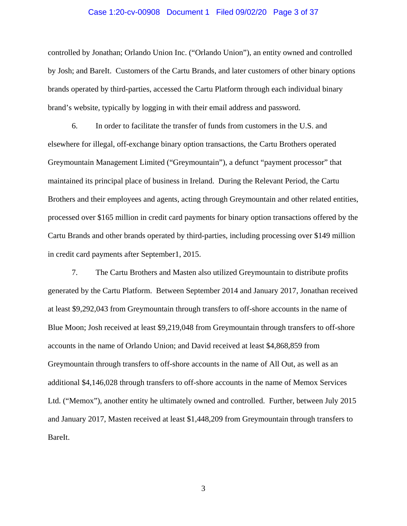#### Case 1:20-cv-00908 Document 1 Filed 09/02/20 Page 3 of 37

controlled by Jonathan; Orlando Union Inc. ("Orlando Union"), an entity owned and controlled by Josh; and BareIt. Customers of the Cartu Brands, and later customers of other binary options brands operated by third-parties, accessed the Cartu Platform through each individual binary brand's website, typically by logging in with their email address and password.

6. In order to facilitate the transfer of funds from customers in the U.S. and elsewhere for illegal, off-exchange binary option transactions, the Cartu Brothers operated Greymountain Management Limited ("Greymountain"), a defunct "payment processor" that maintained its principal place of business in Ireland. During the Relevant Period, the Cartu Brothers and their employees and agents, acting through Greymountain and other related entities, processed over \$165 million in credit card payments for binary option transactions offered by the Cartu Brands and other brands operated by third-parties, including processing over \$149 million in credit card payments after September1, 2015.

7. The Cartu Brothers and Masten also utilized Greymountain to distribute profits generated by the Cartu Platform. Between September 2014 and January 2017, Jonathan received at least \$9,292,043 from Greymountain through transfers to off-shore accounts in the name of Blue Moon; Josh received at least \$9,219,048 from Greymountain through transfers to off-shore accounts in the name of Orlando Union; and David received at least \$4,868,859 from Greymountain through transfers to off-shore accounts in the name of All Out, as well as an additional \$4,146,028 through transfers to off-shore accounts in the name of Memox Services Ltd. ("Memox"), another entity he ultimately owned and controlled. Further, between July 2015 and January 2017, Masten received at least \$1,448,209 from Greymountain through transfers to BareIt.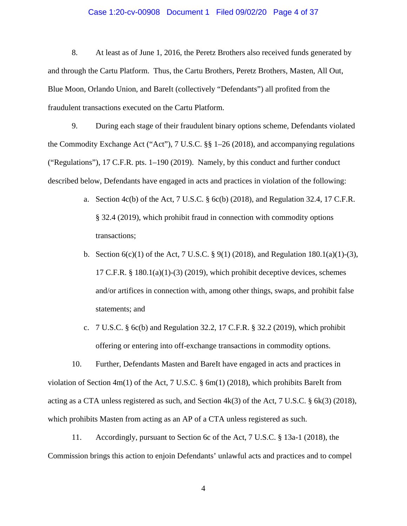#### Case 1:20-cv-00908 Document 1 Filed 09/02/20 Page 4 of 37

8. At least as of June 1, 2016, the Peretz Brothers also received funds generated by and through the Cartu Platform. Thus, the Cartu Brothers, Peretz Brothers, Masten, All Out, Blue Moon, Orlando Union, and BareIt (collectively "Defendants") all profited from the fraudulent transactions executed on the Cartu Platform.

9. During each stage of their fraudulent binary options scheme, Defendants violated the Commodity Exchange Act ("Act"), 7 U.S.C. §§ 1–26 (2018), and accompanying regulations ("Regulations"), 17 C.F.R. pts. 1–190 (2019). Namely, by this conduct and further conduct described below, Defendants have engaged in acts and practices in violation of the following:

- a. Section 4c(b) of the Act, 7 U.S.C. § 6c(b) (2018), and Regulation 32.4, 17 C.F.R. § 32.4 (2019), which prohibit fraud in connection with commodity options transactions;
- b. Section  $6(c)(1)$  of the Act, 7 U.S.C. § 9(1) (2018), and Regulation 180.1(a)(1)-(3), 17 C.F.R.  $\S$  180.1(a)(1)-(3) (2019), which prohibit deceptive devices, schemes and/or artifices in connection with, among other things, swaps, and prohibit false statements; and
- c. 7 U.S.C. § 6c(b) and Regulation 32.2, 17 C.F.R. § 32.2 (2019), which prohibit offering or entering into off-exchange transactions in commodity options.

10. Further, Defendants Masten and BareIt have engaged in acts and practices in violation of Section 4m(1) of the Act, 7 U.S.C. § 6m(1) (2018), which prohibits BareIt from acting as a CTA unless registered as such, and Section  $4k(3)$  of the Act, 7 U.S.C. § 6k(3) (2018), which prohibits Masten from acting as an AP of a CTA unless registered as such.

11. Accordingly, pursuant to Section 6c of the Act, 7 U.S.C. § 13a-1 (2018), the Commission brings this action to enjoin Defendants' unlawful acts and practices and to compel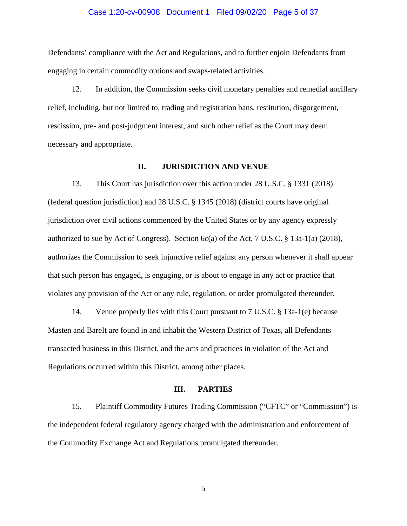#### Case 1:20-cv-00908 Document 1 Filed 09/02/20 Page 5 of 37

Defendants' compliance with the Act and Regulations, and to further enjoin Defendants from engaging in certain commodity options and swaps-related activities.

12. In addition, the Commission seeks civil monetary penalties and remedial ancillary relief, including, but not limited to, trading and registration bans, restitution, disgorgement, rescission, pre- and post-judgment interest, and such other relief as the Court may deem necessary and appropriate.

#### **II. JURISDICTION AND VENUE**

13. This Court has jurisdiction over this action under 28 U.S.C. § 1331 (2018) (federal question jurisdiction) and 28 U.S.C. § 1345 (2018) (district courts have original jurisdiction over civil actions commenced by the United States or by any agency expressly authorized to sue by Act of Congress). Section 6c(a) of the Act, 7 U.S.C. § 13a-1(a) (2018), authorizes the Commission to seek injunctive relief against any person whenever it shall appear that such person has engaged, is engaging, or is about to engage in any act or practice that violates any provision of the Act or any rule, regulation, or order promulgated thereunder.

14. Venue properly lies with this Court pursuant to 7 U.S.C. § 13a-1(e) because Masten and BareIt are found in and inhabit the Western District of Texas, all Defendants transacted business in this District, and the acts and practices in violation of the Act and Regulations occurred within this District, among other places.

#### **III. PARTIES**

15. Plaintiff Commodity Futures Trading Commission ("CFTC" or "Commission") is the independent federal regulatory agency charged with the administration and enforcement of the Commodity Exchange Act and Regulations promulgated thereunder.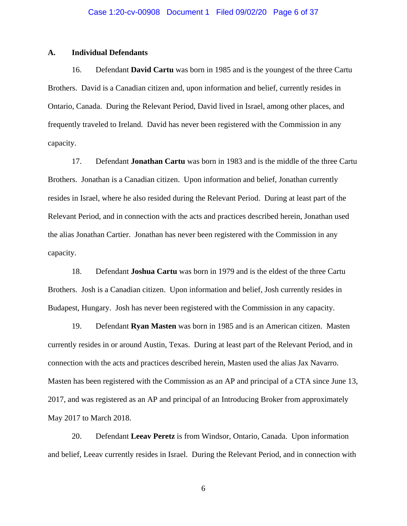# **A. Individual Defendants**

16. Defendant **David Cartu** was born in 1985 and is the youngest of the three Cartu Brothers. David is a Canadian citizen and, upon information and belief, currently resides in Ontario, Canada. During the Relevant Period, David lived in Israel, among other places, and frequently traveled to Ireland. David has never been registered with the Commission in any capacity.

17. Defendant **Jonathan Cartu** was born in 1983 and is the middle of the three Cartu Brothers. Jonathan is a Canadian citizen. Upon information and belief, Jonathan currently resides in Israel, where he also resided during the Relevant Period. During at least part of the Relevant Period, and in connection with the acts and practices described herein, Jonathan used the alias Jonathan Cartier. Jonathan has never been registered with the Commission in any capacity.

18. Defendant **Joshua Cartu** was born in 1979 and is the eldest of the three Cartu Brothers. Josh is a Canadian citizen. Upon information and belief, Josh currently resides in Budapest, Hungary. Josh has never been registered with the Commission in any capacity.

19. Defendant **Ryan Masten** was born in 1985 and is an American citizen. Masten currently resides in or around Austin, Texas. During at least part of the Relevant Period, and in connection with the acts and practices described herein, Masten used the alias Jax Navarro. Masten has been registered with the Commission as an AP and principal of a CTA since June 13, 2017, and was registered as an AP and principal of an Introducing Broker from approximately May 2017 to March 2018.

20. Defendant **Leeav Peretz** is from Windsor, Ontario, Canada. Upon information and belief, Leeav currently resides in Israel. During the Relevant Period, and in connection with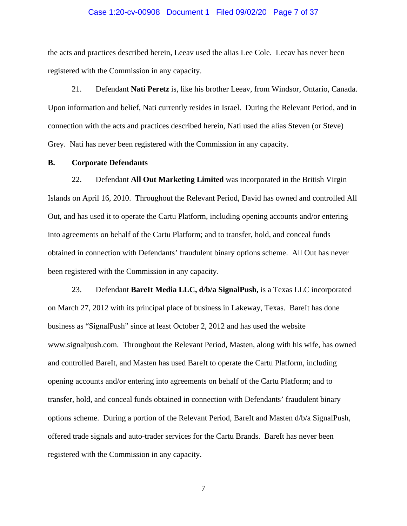#### Case 1:20-cv-00908 Document 1 Filed 09/02/20 Page 7 of 37

the acts and practices described herein, Leeav used the alias Lee Cole. Leeav has never been registered with the Commission in any capacity.

21. Defendant **Nati Peretz** is, like his brother Leeav, from Windsor, Ontario, Canada. Upon information and belief, Nati currently resides in Israel. During the Relevant Period, and in connection with the acts and practices described herein, Nati used the alias Steven (or Steve) Grey. Nati has never been registered with the Commission in any capacity.

#### **B. Corporate Defendants**

22. Defendant **All Out Marketing Limited** was incorporated in the British Virgin Islands on April 16, 2010. Throughout the Relevant Period, David has owned and controlled All Out, and has used it to operate the Cartu Platform, including opening accounts and/or entering into agreements on behalf of the Cartu Platform; and to transfer, hold, and conceal funds obtained in connection with Defendants' fraudulent binary options scheme. All Out has never been registered with the Commission in any capacity.

23. Defendant **BareIt Media LLC, d/b/a SignalPush,** is a Texas LLC incorporated on March 27, 2012 with its principal place of business in Lakeway, Texas. BareIt has done business as "SignalPush" since at least October 2, 2012 and has used the website www.signalpush.com. Throughout the Relevant Period, Masten, along with his wife, has owned and controlled BareIt, and Masten has used BareIt to operate the Cartu Platform, including opening accounts and/or entering into agreements on behalf of the Cartu Platform; and to transfer, hold, and conceal funds obtained in connection with Defendants' fraudulent binary options scheme. During a portion of the Relevant Period, BareIt and Masten d/b/a SignalPush, offered trade signals and auto-trader services for the Cartu Brands. BareIt has never been registered with the Commission in any capacity.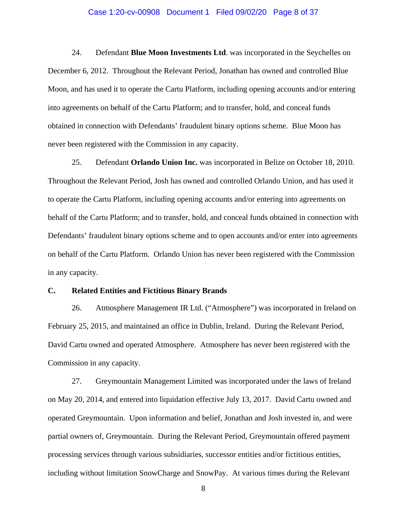#### Case 1:20-cv-00908 Document 1 Filed 09/02/20 Page 8 of 37

24. Defendant **Blue Moon Investments Ltd**. was incorporated in the Seychelles on December 6, 2012. Throughout the Relevant Period, Jonathan has owned and controlled Blue Moon, and has used it to operate the Cartu Platform, including opening accounts and/or entering into agreements on behalf of the Cartu Platform; and to transfer, hold, and conceal funds obtained in connection with Defendants' fraudulent binary options scheme. Blue Moon has never been registered with the Commission in any capacity.

25. Defendant **Orlando Union Inc.** was incorporated in Belize on October 18, 2010. Throughout the Relevant Period, Josh has owned and controlled Orlando Union, and has used it to operate the Cartu Platform, including opening accounts and/or entering into agreements on behalf of the Cartu Platform; and to transfer, hold, and conceal funds obtained in connection with Defendants' fraudulent binary options scheme and to open accounts and/or enter into agreements on behalf of the Cartu Platform. Orlando Union has never been registered with the Commission in any capacity.

## **C. Related Entities and Fictitious Binary Brands**

26. Atmosphere Management IR Ltd. ("Atmosphere") was incorporated in Ireland on February 25, 2015, and maintained an office in Dublin, Ireland. During the Relevant Period, David Cartu owned and operated Atmosphere. Atmosphere has never been registered with the Commission in any capacity.

27. Greymountain Management Limited was incorporated under the laws of Ireland on May 20, 2014, and entered into liquidation effective July 13, 2017. David Cartu owned and operated Greymountain. Upon information and belief, Jonathan and Josh invested in, and were partial owners of, Greymountain. During the Relevant Period, Greymountain offered payment processing services through various subsidiaries, successor entities and/or fictitious entities, including without limitation SnowCharge and SnowPay. At various times during the Relevant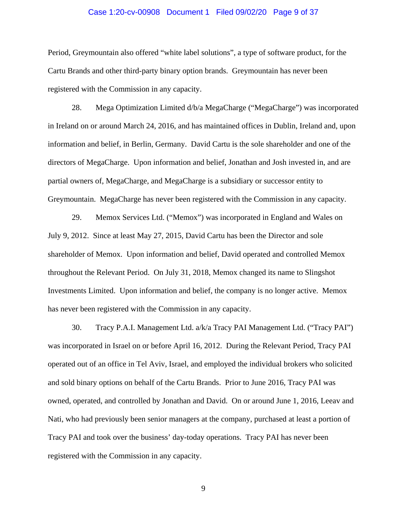#### Case 1:20-cv-00908 Document 1 Filed 09/02/20 Page 9 of 37

Period, Greymountain also offered "white label solutions", a type of software product, for the Cartu Brands and other third-party binary option brands. Greymountain has never been registered with the Commission in any capacity.

28. Mega Optimization Limited d/b/a MegaCharge ("MegaCharge") was incorporated in Ireland on or around March 24, 2016, and has maintained offices in Dublin, Ireland and, upon information and belief, in Berlin, Germany. David Cartu is the sole shareholder and one of the directors of MegaCharge. Upon information and belief, Jonathan and Josh invested in, and are partial owners of, MegaCharge, and MegaCharge is a subsidiary or successor entity to Greymountain. MegaCharge has never been registered with the Commission in any capacity.

29. Memox Services Ltd. ("Memox") was incorporated in England and Wales on July 9, 2012. Since at least May 27, 2015, David Cartu has been the Director and sole shareholder of Memox. Upon information and belief, David operated and controlled Memox throughout the Relevant Period. On July 31, 2018, Memox changed its name to Slingshot Investments Limited. Upon information and belief, the company is no longer active. Memox has never been registered with the Commission in any capacity.

30. Tracy P.A.I. Management Ltd. a/k/a Tracy PAI Management Ltd. ("Tracy PAI") was incorporated in Israel on or before April 16, 2012. During the Relevant Period, Tracy PAI operated out of an office in Tel Aviv, Israel, and employed the individual brokers who solicited and sold binary options on behalf of the Cartu Brands. Prior to June 2016, Tracy PAI was owned, operated, and controlled by Jonathan and David. On or around June 1, 2016, Leeav and Nati, who had previously been senior managers at the company, purchased at least a portion of Tracy PAI and took over the business' day-today operations. Tracy PAI has never been registered with the Commission in any capacity.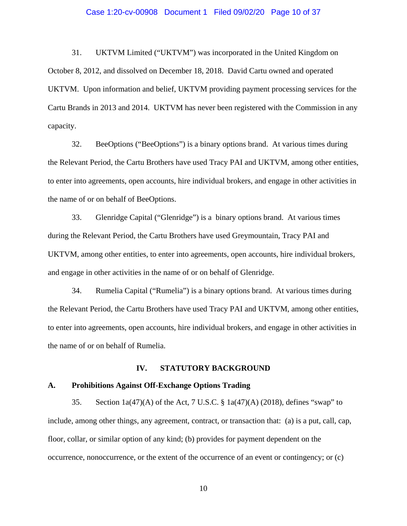#### Case 1:20-cv-00908 Document 1 Filed 09/02/20 Page 10 of 37

31. UKTVM Limited ("UKTVM") was incorporated in the United Kingdom on October 8, 2012, and dissolved on December 18, 2018. David Cartu owned and operated UKTVM. Upon information and belief, UKTVM providing payment processing services for the Cartu Brands in 2013 and 2014. UKTVM has never been registered with the Commission in any capacity.

32. BeeOptions ("BeeOptions") is a binary options brand. At various times during the Relevant Period, the Cartu Brothers have used Tracy PAI and UKTVM, among other entities, to enter into agreements, open accounts, hire individual brokers, and engage in other activities in the name of or on behalf of BeeOptions.

33. Glenridge Capital ("Glenridge") is a binary options brand. At various times during the Relevant Period, the Cartu Brothers have used Greymountain, Tracy PAI and UKTVM, among other entities, to enter into agreements, open accounts, hire individual brokers, and engage in other activities in the name of or on behalf of Glenridge.

34. Rumelia Capital ("Rumelia") is a binary options brand. At various times during the Relevant Period, the Cartu Brothers have used Tracy PAI and UKTVM, among other entities, to enter into agreements, open accounts, hire individual brokers, and engage in other activities in the name of or on behalf of Rumelia.

#### **IV. STATUTORY BACKGROUND**

#### **A. Prohibitions Against Off-Exchange Options Trading**

35. Section 1a(47)(A) of the Act, 7 U.S.C. § 1a(47)(A) (2018), defines "swap" to include, among other things, any agreement, contract, or transaction that: (a) is a put, call, cap, floor, collar, or similar option of any kind; (b) provides for payment dependent on the occurrence, nonoccurrence, or the extent of the occurrence of an event or contingency; or (c)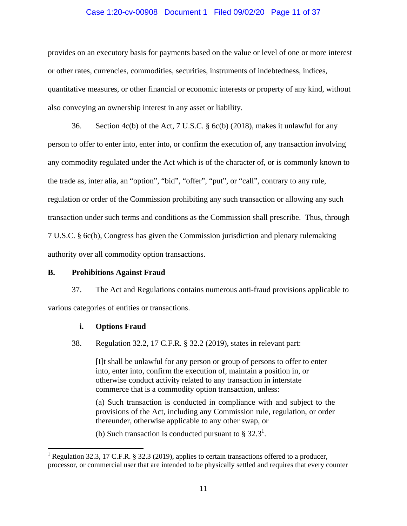#### Case 1:20-cv-00908 Document 1 Filed 09/02/20 Page 11 of 37

provides on an executory basis for payments based on the value or level of one or more interest or other rates, currencies, commodities, securities, instruments of indebtedness, indices, quantitative measures, or other financial or economic interests or property of any kind, without also conveying an ownership interest in any asset or liability.

36. Section 4c(b) of the Act, 7 U.S.C. § 6c(b) (2018), makes it unlawful for any person to offer to enter into, enter into, or confirm the execution of, any transaction involving any commodity regulated under the Act which is of the character of, or is commonly known to the trade as, inter alia, an "option", "bid", "offer", "put", or "call", contrary to any rule, regulation or order of the Commission prohibiting any such transaction or allowing any such transaction under such terms and conditions as the Commission shall prescribe. Thus, through 7 U.S.C. § 6c(b), Congress has given the Commission jurisdiction and plenary rulemaking authority over all commodity option transactions.

## **B. Prohibitions Against Fraud**

37. The Act and Regulations contains numerous anti-fraud provisions applicable to various categories of entities or transactions.

#### **i. Options Fraud**

 $\overline{a}$ 

38. Regulation 32.2, 17 C.F.R. § 32.2 (2019), states in relevant part:

[I]t shall be unlawful for any person or group of persons to offer to enter into, enter into, confirm the execution of, maintain a position in, or otherwise conduct activity related to any transaction in interstate commerce that is a commodity option transaction, unless:

(a) Such transaction is conducted in compliance with and subject to the provisions of the Act, including any Commission rule, regulation, or order thereunder, otherwise applicable to any other swap, or

(b) Such transaction is conducted pursuant to §  $32.3^1$ .

<sup>&</sup>lt;sup>1</sup> Regulation 32.3, 17 C.F.R. § 32.3 (2019), applies to certain transactions offered to a producer, processor, or commercial user that are intended to be physically settled and requires that every counter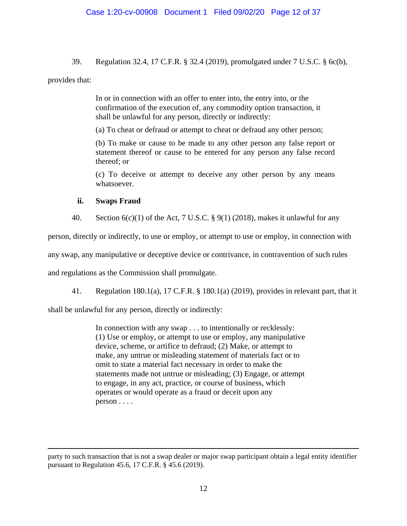39. Regulation 32.4, 17 C.F.R. § 32.4 (2019), promulgated under 7 U.S.C. § 6c(b),

# provides that:

 $\overline{a}$ 

In or in connection with an offer to enter into, the entry into, or the confirmation of the execution of, any commodity option transaction, it shall be unlawful for any person, directly or indirectly:

(a) To cheat or defraud or attempt to cheat or defraud any other person;

(b) To make or cause to be made to any other person any false report or statement thereof or cause to be entered for any person any false record thereof; or

(c) To deceive or attempt to deceive any other person by any means whatsoever.

# **ii. Swaps Fraud**

40. Section  $6(c)(1)$  of the Act, 7 U.S.C. § 9(1) (2018), makes it unlawful for any

person, directly or indirectly, to use or employ, or attempt to use or employ, in connection with

any swap, any manipulative or deceptive device or contrivance, in contravention of such rules

and regulations as the Commission shall promulgate.

41. Regulation 180.1(a), 17 C.F.R. § 180.1(a) (2019), provides in relevant part, that it

shall be unlawful for any person, directly or indirectly:

In connection with any swap . . . to intentionally or recklessly: (1) Use or employ, or attempt to use or employ, any manipulative device, scheme, or artifice to defraud; (2) Make, or attempt to make, any untrue or misleading statement of materials fact or to omit to state a material fact necessary in order to make the statements made not untrue or misleading; (3) Engage, or attempt to engage, in any act, practice, or course of business, which operates or would operate as a fraud or deceit upon any person . . . .

party to such transaction that is not a swap dealer or major swap participant obtain a legal entity identifier pursuant to Regulation 45.6, 17 C.F.R. § 45.6 (2019).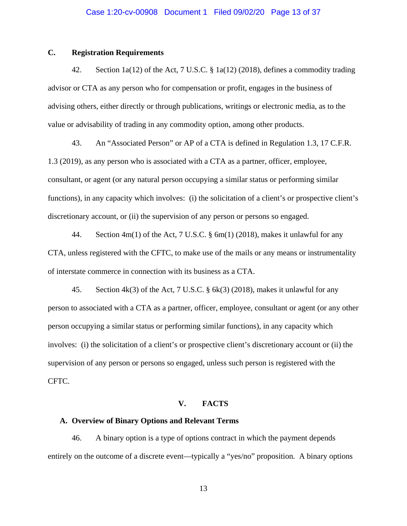# **C. Registration Requirements**

42. Section 1a(12) of the Act, 7 U.S.C. § 1a(12) (2018), defines a commodity trading advisor or CTA as any person who for compensation or profit, engages in the business of advising others, either directly or through publications, writings or electronic media, as to the value or advisability of trading in any commodity option, among other products.

43. An "Associated Person" or AP of a CTA is defined in Regulation 1.3, 17 C.F.R. 1.3 (2019), as any person who is associated with a CTA as a partner, officer, employee, consultant, or agent (or any natural person occupying a similar status or performing similar functions), in any capacity which involves: (i) the solicitation of a client's or prospective client's discretionary account, or (ii) the supervision of any person or persons so engaged.

44. Section 4m(1) of the Act, 7 U.S.C. § 6m(1) (2018), makes it unlawful for any CTA, unless registered with the CFTC, to make use of the mails or any means or instrumentality of interstate commerce in connection with its business as a CTA.

45. Section 4k(3) of the Act, 7 U.S.C. § 6k(3) (2018), makes it unlawful for any person to associated with a CTA as a partner, officer, employee, consultant or agent (or any other person occupying a similar status or performing similar functions), in any capacity which involves: (i) the solicitation of a client's or prospective client's discretionary account or (ii) the supervision of any person or persons so engaged, unless such person is registered with the CFTC.

## **V. FACTS**

# **A. Overview of Binary Options and Relevant Terms**

46. A binary option is a type of options contract in which the payment depends entirely on the outcome of a discrete event—typically a "yes/no" proposition. A binary options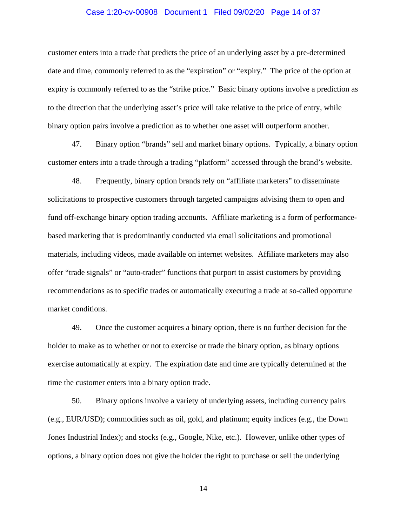#### Case 1:20-cv-00908 Document 1 Filed 09/02/20 Page 14 of 37

customer enters into a trade that predicts the price of an underlying asset by a pre-determined date and time, commonly referred to as the "expiration" or "expiry." The price of the option at expiry is commonly referred to as the "strike price." Basic binary options involve a prediction as to the direction that the underlying asset's price will take relative to the price of entry, while binary option pairs involve a prediction as to whether one asset will outperform another.

47. Binary option "brands" sell and market binary options. Typically, a binary option customer enters into a trade through a trading "platform" accessed through the brand's website.

48. Frequently, binary option brands rely on "affiliate marketers" to disseminate solicitations to prospective customers through targeted campaigns advising them to open and fund off-exchange binary option trading accounts. Affiliate marketing is a form of performancebased marketing that is predominantly conducted via email solicitations and promotional materials, including videos, made available on internet websites. Affiliate marketers may also offer "trade signals" or "auto-trader" functions that purport to assist customers by providing recommendations as to specific trades or automatically executing a trade at so-called opportune market conditions.

49. Once the customer acquires a binary option, there is no further decision for the holder to make as to whether or not to exercise or trade the binary option, as binary options exercise automatically at expiry. The expiration date and time are typically determined at the time the customer enters into a binary option trade.

50. Binary options involve a variety of underlying assets, including currency pairs (e.g., EUR/USD); commodities such as oil, gold, and platinum; equity indices (e.g., the Down Jones Industrial Index); and stocks (e.g., Google, Nike, etc.). However, unlike other types of options, a binary option does not give the holder the right to purchase or sell the underlying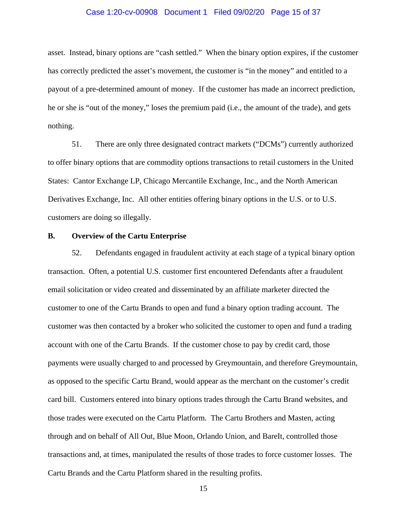#### Case 1:20-cv-00908 Document 1 Filed 09/02/20 Page 15 of 37

asset. Instead, binary options are "cash settled." When the binary option expires, if the customer has correctly predicted the asset's movement, the customer is "in the money" and entitled to a payout of a pre-determined amount of money. If the customer has made an incorrect prediction, he or she is "out of the money," loses the premium paid (i.e., the amount of the trade), and gets nothing.

51. There are only three designated contract markets ("DCMs") currently authorized to offer binary options that are commodity options transactions to retail customers in the United States: Cantor Exchange LP, Chicago Mercantile Exchange, Inc., and the North American Derivatives Exchange, Inc. All other entities offering binary options in the U.S. or to U.S. customers are doing so illegally.

## **B. Overview of the Cartu Enterprise**

52. Defendants engaged in fraudulent activity at each stage of a typical binary option transaction. Often, a potential U.S. customer first encountered Defendants after a fraudulent email solicitation or video created and disseminated by an affiliate marketer directed the customer to one of the Cartu Brands to open and fund a binary option trading account. The customer was then contacted by a broker who solicited the customer to open and fund a trading account with one of the Cartu Brands. If the customer chose to pay by credit card, those payments were usually charged to and processed by Greymountain, and therefore Greymountain, as opposed to the specific Cartu Brand, would appear as the merchant on the customer's credit card bill. Customers entered into binary options trades through the Cartu Brand websites, and those trades were executed on the Cartu Platform. The Cartu Brothers and Masten, acting through and on behalf of All Out, Blue Moon, Orlando Union, and BareIt, controlled those transactions and, at times, manipulated the results of those trades to force customer losses. The Cartu Brands and the Cartu Platform shared in the resulting profits.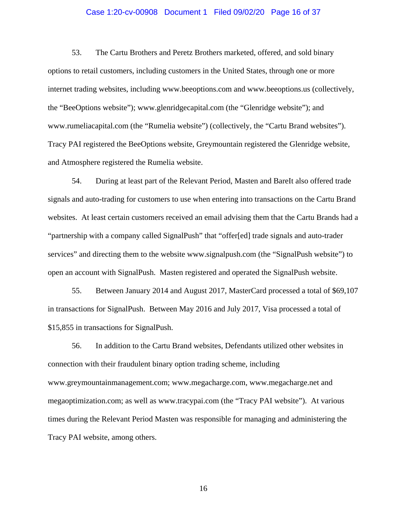#### Case 1:20-cv-00908 Document 1 Filed 09/02/20 Page 16 of 37

53. The Cartu Brothers and Peretz Brothers marketed, offered, and sold binary options to retail customers, including customers in the United States, through one or more internet trading websites, including www.beeoptions.com and www.beeoptions.us (collectively, the "BeeOptions website"); www.glenridgecapital.com (the "Glenridge website"); and www.rumeliacapital.com (the "Rumelia website") (collectively, the "Cartu Brand websites"). Tracy PAI registered the BeeOptions website, Greymountain registered the Glenridge website, and Atmosphere registered the Rumelia website.

54. During at least part of the Relevant Period, Masten and BareIt also offered trade signals and auto-trading for customers to use when entering into transactions on the Cartu Brand websites. At least certain customers received an email advising them that the Cartu Brands had a "partnership with a company called SignalPush" that "offer[ed] trade signals and auto-trader services" and directing them to the website www.signalpush.com (the "SignalPush website") to open an account with SignalPush. Masten registered and operated the SignalPush website.

55. Between January 2014 and August 2017, MasterCard processed a total of \$69,107 in transactions for SignalPush. Between May 2016 and July 2017, Visa processed a total of \$15,855 in transactions for SignalPush.

56. In addition to the Cartu Brand websites, Defendants utilized other websites in connection with their fraudulent binary option trading scheme, including www.greymountainmanagement.com; www.megacharge.com, www.megacharge.net and megaoptimization.com; as well as www.tracypai.com (the "Tracy PAI website"). At various times during the Relevant Period Masten was responsible for managing and administering the Tracy PAI website, among others.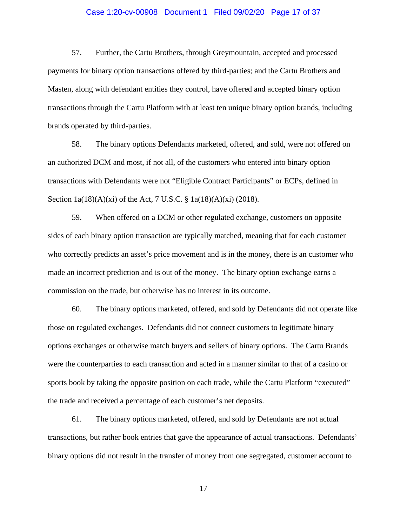### Case 1:20-cv-00908 Document 1 Filed 09/02/20 Page 17 of 37

57. Further, the Cartu Brothers, through Greymountain, accepted and processed payments for binary option transactions offered by third-parties; and the Cartu Brothers and Masten, along with defendant entities they control, have offered and accepted binary option transactions through the Cartu Platform with at least ten unique binary option brands, including brands operated by third-parties.

58. The binary options Defendants marketed, offered, and sold, were not offered on an authorized DCM and most, if not all, of the customers who entered into binary option transactions with Defendants were not "Eligible Contract Participants" or ECPs, defined in Section 1a(18)(A)(xi) of the Act, 7 U.S.C. § 1a(18)(A)(xi) (2018).

59. When offered on a DCM or other regulated exchange, customers on opposite sides of each binary option transaction are typically matched, meaning that for each customer who correctly predicts an asset's price movement and is in the money, there is an customer who made an incorrect prediction and is out of the money. The binary option exchange earns a commission on the trade, but otherwise has no interest in its outcome.

60. The binary options marketed, offered, and sold by Defendants did not operate like those on regulated exchanges. Defendants did not connect customers to legitimate binary options exchanges or otherwise match buyers and sellers of binary options. The Cartu Brands were the counterparties to each transaction and acted in a manner similar to that of a casino or sports book by taking the opposite position on each trade, while the Cartu Platform "executed" the trade and received a percentage of each customer's net deposits.

61. The binary options marketed, offered, and sold by Defendants are not actual transactions, but rather book entries that gave the appearance of actual transactions. Defendants' binary options did not result in the transfer of money from one segregated, customer account to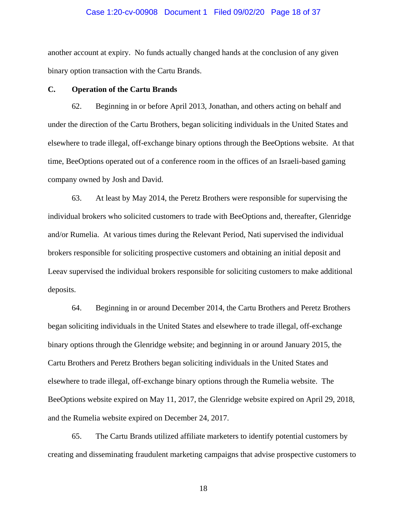#### Case 1:20-cv-00908 Document 1 Filed 09/02/20 Page 18 of 37

another account at expiry. No funds actually changed hands at the conclusion of any given binary option transaction with the Cartu Brands.

## **C. Operation of the Cartu Brands**

62. Beginning in or before April 2013, Jonathan, and others acting on behalf and under the direction of the Cartu Brothers, began soliciting individuals in the United States and elsewhere to trade illegal, off-exchange binary options through the BeeOptions website. At that time, BeeOptions operated out of a conference room in the offices of an Israeli-based gaming company owned by Josh and David.

63. At least by May 2014, the Peretz Brothers were responsible for supervising the individual brokers who solicited customers to trade with BeeOptions and, thereafter, Glenridge and/or Rumelia. At various times during the Relevant Period, Nati supervised the individual brokers responsible for soliciting prospective customers and obtaining an initial deposit and Leeav supervised the individual brokers responsible for soliciting customers to make additional deposits.

64. Beginning in or around December 2014, the Cartu Brothers and Peretz Brothers began soliciting individuals in the United States and elsewhere to trade illegal, off-exchange binary options through the Glenridge website; and beginning in or around January 2015, the Cartu Brothers and Peretz Brothers began soliciting individuals in the United States and elsewhere to trade illegal, off-exchange binary options through the Rumelia website. The BeeOptions website expired on May 11, 2017, the Glenridge website expired on April 29, 2018, and the Rumelia website expired on December 24, 2017.

65. The Cartu Brands utilized affiliate marketers to identify potential customers by creating and disseminating fraudulent marketing campaigns that advise prospective customers to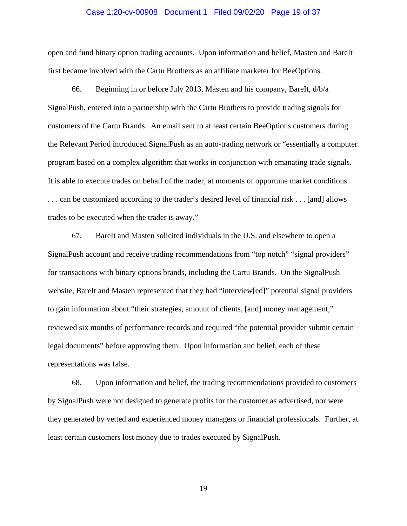#### Case 1:20-cv-00908 Document 1 Filed 09/02/20 Page 19 of 37

open and fund binary option trading accounts. Upon information and belief, Masten and BareIt first became involved with the Cartu Brothers as an affiliate marketer for BeeOptions.

66. Beginning in or before July 2013, Masten and his company, BareIt, d/b/a SignalPush, entered into a partnership with the Cartu Brothers to provide trading signals for customers of the Cartu Brands. An email sent to at least certain BeeOptions customers during the Relevant Period introduced SignalPush as an auto-trading network or "essentially a computer program based on a complex algorithm that works in conjunction with emanating trade signals. It is able to execute trades on behalf of the trader, at moments of opportune market conditions . . . can be customized according to the trader's desired level of financial risk . . . [and] allows trades to be executed when the trader is away."

67. BareIt and Masten solicited individuals in the U.S. and elsewhere to open a SignalPush account and receive trading recommendations from "top notch" "signal providers" for transactions with binary options brands, including the Cartu Brands. On the SignalPush website, BareIt and Masten represented that they had "interview[ed]" potential signal providers to gain information about "their strategies, amount of clients, [and] money management," reviewed six months of performance records and required "the potential provider submit certain legal documents" before approving them. Upon information and belief, each of these representations was false.

68. Upon information and belief, the trading recommendations provided to customers by SignalPush were not designed to generate profits for the customer as advertised, nor were they generated by vetted and experienced money managers or financial professionals. Further, at least certain customers lost money due to trades executed by SignalPush.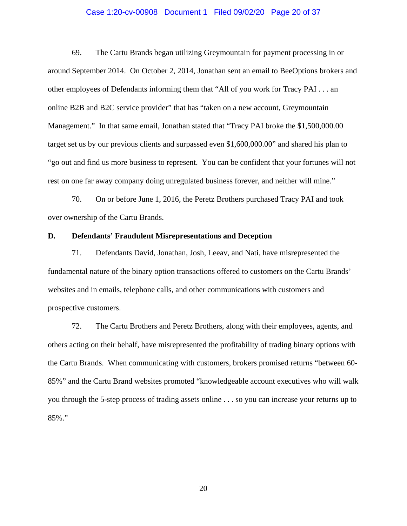#### Case 1:20-cv-00908 Document 1 Filed 09/02/20 Page 20 of 37

69. The Cartu Brands began utilizing Greymountain for payment processing in or around September 2014. On October 2, 2014, Jonathan sent an email to BeeOptions brokers and other employees of Defendants informing them that "All of you work for Tracy PAI . . . an online B2B and B2C service provider" that has "taken on a new account, Greymountain Management." In that same email, Jonathan stated that "Tracy PAI broke the \$1,500,000.00 target set us by our previous clients and surpassed even \$1,600,000.00" and shared his plan to "go out and find us more business to represent. You can be confident that your fortunes will not rest on one far away company doing unregulated business forever, and neither will mine."

70. On or before June 1, 2016, the Peretz Brothers purchased Tracy PAI and took over ownership of the Cartu Brands.

# **D. Defendants' Fraudulent Misrepresentations and Deception**

71. Defendants David, Jonathan, Josh, Leeav, and Nati, have misrepresented the fundamental nature of the binary option transactions offered to customers on the Cartu Brands' websites and in emails, telephone calls, and other communications with customers and prospective customers.

72. The Cartu Brothers and Peretz Brothers, along with their employees, agents, and others acting on their behalf, have misrepresented the profitability of trading binary options with the Cartu Brands. When communicating with customers, brokers promised returns "between 60- 85%" and the Cartu Brand websites promoted "knowledgeable account executives who will walk you through the 5-step process of trading assets online . . . so you can increase your returns up to 85%."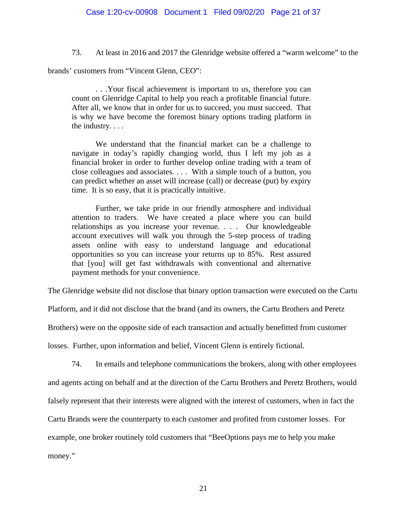73. At least in 2016 and 2017 the Glenridge website offered a "warm welcome" to the

brands' customers from "Vincent Glenn, CEO":

 . . .Your fiscal achievement is important to us, therefore you can count on Glenridge Capital to help you reach a profitable financial future. After all, we know that in order for us to succeed, you must succeed. That is why we have become the foremost binary options trading platform in the industry. . . .

 We understand that the financial market can be a challenge to navigate in today's rapidly changing world, thus I left my job as a financial broker in order to further develop online trading with a team of close colleagues and associates. . . . With a simple touch of a button, you can predict whether an asset will increase (call) or decrease (put) by expiry time. It is so easy, that it is practically intuitive.

 Further, we take pride in our friendly atmosphere and individual attention to traders. We have created a place where you can build relationships as you increase your revenue. . . . Our knowledgeable account executives will walk you through the 5-step process of trading assets online with easy to understand language and educational opportunities so you can increase your returns up to 85%. Rest assured that [you] will get fast withdrawals with conventional and alternative payment methods for your convenience.

The Glenridge website did not disclose that binary option transaction were executed on the Cartu

Platform, and it did not disclose that the brand (and its owners, the Cartu Brothers and Peretz

Brothers) were on the opposite side of each transaction and actually benefitted from customer

losses. Further, upon information and belief, Vincent Glenn is entirely fictional.

74. In emails and telephone communications the brokers, along with other employees

and agents acting on behalf and at the direction of the Cartu Brothers and Peretz Brothers, would

falsely represent that their interests were aligned with the interest of customers, when in fact the

Cartu Brands were the counterparty to each customer and profited from customer losses. For

example, one broker routinely told customers that "BeeOptions pays me to help you make

money."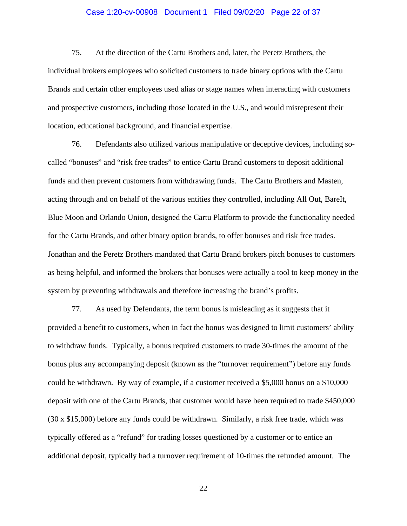### Case 1:20-cv-00908 Document 1 Filed 09/02/20 Page 22 of 37

75. At the direction of the Cartu Brothers and, later, the Peretz Brothers, the individual brokers employees who solicited customers to trade binary options with the Cartu Brands and certain other employees used alias or stage names when interacting with customers and prospective customers, including those located in the U.S., and would misrepresent their location, educational background, and financial expertise.

76. Defendants also utilized various manipulative or deceptive devices, including socalled "bonuses" and "risk free trades" to entice Cartu Brand customers to deposit additional funds and then prevent customers from withdrawing funds. The Cartu Brothers and Masten, acting through and on behalf of the various entities they controlled, including All Out, BareIt, Blue Moon and Orlando Union, designed the Cartu Platform to provide the functionality needed for the Cartu Brands, and other binary option brands, to offer bonuses and risk free trades. Jonathan and the Peretz Brothers mandated that Cartu Brand brokers pitch bonuses to customers as being helpful, and informed the brokers that bonuses were actually a tool to keep money in the system by preventing withdrawals and therefore increasing the brand's profits.

77. As used by Defendants, the term bonus is misleading as it suggests that it provided a benefit to customers, when in fact the bonus was designed to limit customers' ability to withdraw funds. Typically, a bonus required customers to trade 30-times the amount of the bonus plus any accompanying deposit (known as the "turnover requirement") before any funds could be withdrawn. By way of example, if a customer received a \$5,000 bonus on a \$10,000 deposit with one of the Cartu Brands, that customer would have been required to trade \$450,000 (30 x \$15,000) before any funds could be withdrawn. Similarly, a risk free trade, which was typically offered as a "refund" for trading losses questioned by a customer or to entice an additional deposit, typically had a turnover requirement of 10-times the refunded amount. The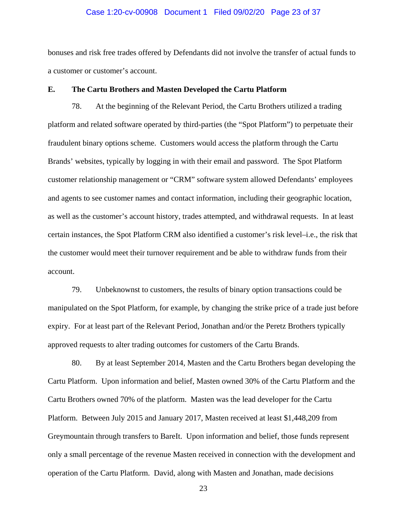#### Case 1:20-cv-00908 Document 1 Filed 09/02/20 Page 23 of 37

bonuses and risk free trades offered by Defendants did not involve the transfer of actual funds to a customer or customer's account.

## **E. The Cartu Brothers and Masten Developed the Cartu Platform**

78. At the beginning of the Relevant Period, the Cartu Brothers utilized a trading platform and related software operated by third-parties (the "Spot Platform") to perpetuate their fraudulent binary options scheme. Customers would access the platform through the Cartu Brands' websites, typically by logging in with their email and password. The Spot Platform customer relationship management or "CRM" software system allowed Defendants' employees and agents to see customer names and contact information, including their geographic location, as well as the customer's account history, trades attempted, and withdrawal requests. In at least certain instances, the Spot Platform CRM also identified a customer's risk level–i.e., the risk that the customer would meet their turnover requirement and be able to withdraw funds from their account.

79. Unbeknownst to customers, the results of binary option transactions could be manipulated on the Spot Platform, for example, by changing the strike price of a trade just before expiry. For at least part of the Relevant Period, Jonathan and/or the Peretz Brothers typically approved requests to alter trading outcomes for customers of the Cartu Brands.

80. By at least September 2014, Masten and the Cartu Brothers began developing the Cartu Platform. Upon information and belief, Masten owned 30% of the Cartu Platform and the Cartu Brothers owned 70% of the platform. Masten was the lead developer for the Cartu Platform. Between July 2015 and January 2017, Masten received at least \$1,448,209 from Greymountain through transfers to BareIt. Upon information and belief, those funds represent only a small percentage of the revenue Masten received in connection with the development and operation of the Cartu Platform. David, along with Masten and Jonathan, made decisions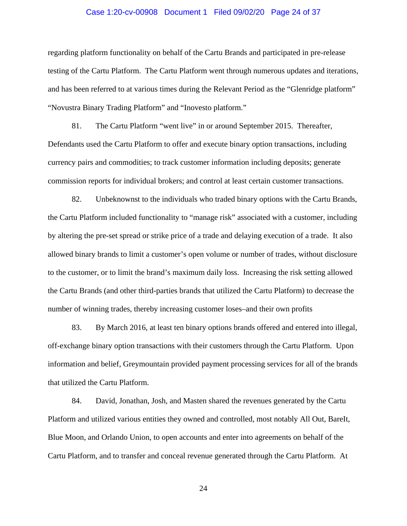#### Case 1:20-cv-00908 Document 1 Filed 09/02/20 Page 24 of 37

regarding platform functionality on behalf of the Cartu Brands and participated in pre-release testing of the Cartu Platform. The Cartu Platform went through numerous updates and iterations, and has been referred to at various times during the Relevant Period as the "Glenridge platform" "Novustra Binary Trading Platform" and "Inovesto platform."

81. The Cartu Platform "went live" in or around September 2015. Thereafter, Defendants used the Cartu Platform to offer and execute binary option transactions, including currency pairs and commodities; to track customer information including deposits; generate commission reports for individual brokers; and control at least certain customer transactions.

82. Unbeknownst to the individuals who traded binary options with the Cartu Brands, the Cartu Platform included functionality to "manage risk" associated with a customer, including by altering the pre-set spread or strike price of a trade and delaying execution of a trade. It also allowed binary brands to limit a customer's open volume or number of trades, without disclosure to the customer, or to limit the brand's maximum daily loss. Increasing the risk setting allowed the Cartu Brands (and other third-parties brands that utilized the Cartu Platform) to decrease the number of winning trades, thereby increasing customer loses–and their own profits

83. By March 2016, at least ten binary options brands offered and entered into illegal, off-exchange binary option transactions with their customers through the Cartu Platform. Upon information and belief, Greymountain provided payment processing services for all of the brands that utilized the Cartu Platform.

84. David, Jonathan, Josh, and Masten shared the revenues generated by the Cartu Platform and utilized various entities they owned and controlled, most notably All Out, BareIt, Blue Moon, and Orlando Union, to open accounts and enter into agreements on behalf of the Cartu Platform, and to transfer and conceal revenue generated through the Cartu Platform. At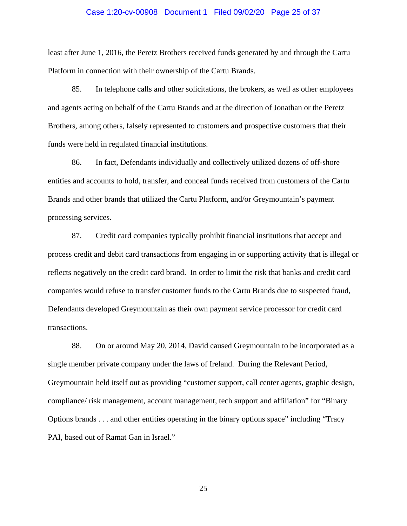#### Case 1:20-cv-00908 Document 1 Filed 09/02/20 Page 25 of 37

least after June 1, 2016, the Peretz Brothers received funds generated by and through the Cartu Platform in connection with their ownership of the Cartu Brands.

85. In telephone calls and other solicitations, the brokers, as well as other employees and agents acting on behalf of the Cartu Brands and at the direction of Jonathan or the Peretz Brothers, among others, falsely represented to customers and prospective customers that their funds were held in regulated financial institutions.

86. In fact, Defendants individually and collectively utilized dozens of off-shore entities and accounts to hold, transfer, and conceal funds received from customers of the Cartu Brands and other brands that utilized the Cartu Platform, and/or Greymountain's payment processing services.

87. Credit card companies typically prohibit financial institutions that accept and process credit and debit card transactions from engaging in or supporting activity that is illegal or reflects negatively on the credit card brand. In order to limit the risk that banks and credit card companies would refuse to transfer customer funds to the Cartu Brands due to suspected fraud, Defendants developed Greymountain as their own payment service processor for credit card transactions.

88. On or around May 20, 2014, David caused Greymountain to be incorporated as a single member private company under the laws of Ireland. During the Relevant Period, Greymountain held itself out as providing "customer support, call center agents, graphic design, compliance/ risk management, account management, tech support and affiliation" for "Binary Options brands . . . and other entities operating in the binary options space" including "Tracy PAI, based out of Ramat Gan in Israel."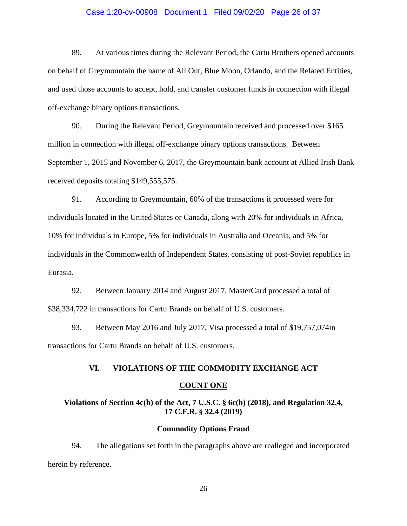#### Case 1:20-cv-00908 Document 1 Filed 09/02/20 Page 26 of 37

89. At various times during the Relevant Period, the Cartu Brothers opened accounts on behalf of Greymountain the name of All Out, Blue Moon, Orlando, and the Related Entities, and used those accounts to accept, hold, and transfer customer funds in connection with illegal off-exchange binary options transactions.

90. During the Relevant Period, Greymountain received and processed over \$165 million in connection with illegal off-exchange binary options transactions. Between September 1, 2015 and November 6, 2017, the Greymountain bank account at Allied Irish Bank received deposits totaling \$149,555,575.

91. According to Greymountain, 60% of the transactions it processed were for individuals located in the United States or Canada, along with 20% for individuals in Africa, 10% for individuals in Europe, 5% for individuals in Australia and Oceania, and 5% for individuals in the Commonwealth of Independent States, consisting of post-Soviet republics in Eurasia.

92. Between January 2014 and August 2017, MasterCard processed a total of \$38,334,722 in transactions for Cartu Brands on behalf of U.S. customers.

93. Between May 2016 and July 2017, Visa processed a total of \$19,757,074in transactions for Cartu Brands on behalf of U.S. customers.

#### **VI. VIOLATIONS OF THE COMMODITY EXCHANGE ACT**

#### **COUNT ONE**

# **Violations of Section 4c(b) of the Act, 7 U.S.C. § 6c(b) (2018), and Regulation 32.4, 17 C.F.R. § 32.4 (2019)**

# **Commodity Options Fraud**

94. The allegations set forth in the paragraphs above are realleged and incorporated herein by reference.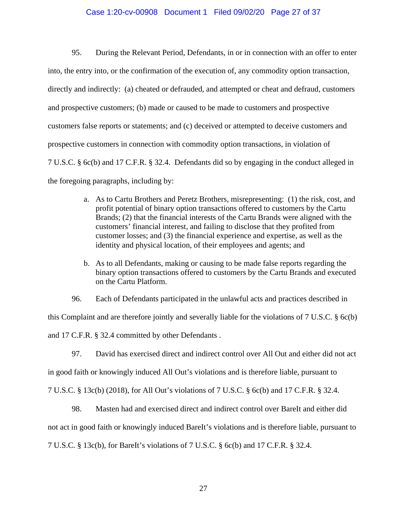## Case 1:20-cv-00908 Document 1 Filed 09/02/20 Page 27 of 37

95. During the Relevant Period, Defendants, in or in connection with an offer to enter into, the entry into, or the confirmation of the execution of, any commodity option transaction, directly and indirectly: (a) cheated or defrauded, and attempted or cheat and defraud, customers and prospective customers; (b) made or caused to be made to customers and prospective customers false reports or statements; and (c) deceived or attempted to deceive customers and prospective customers in connection with commodity option transactions, in violation of 7 U.S.C. § 6c(b) and 17 C.F.R. § 32.4. Defendants did so by engaging in the conduct alleged in the foregoing paragraphs, including by:

- a. As to Cartu Brothers and Peretz Brothers, misrepresenting: (1) the risk, cost, and profit potential of binary option transactions offered to customers by the Cartu Brands; (2) that the financial interests of the Cartu Brands were aligned with the customers' financial interest, and failing to disclose that they profited from customer losses; and (3) the financial experience and expertise, as well as the identity and physical location, of their employees and agents; and
- b. As to all Defendants, making or causing to be made false reports regarding the binary option transactions offered to customers by the Cartu Brands and executed on the Cartu Platform.
- 96. Each of Defendants participated in the unlawful acts and practices described in

this Complaint and are therefore jointly and severally liable for the violations of 7 U.S.C. § 6c(b) and 17 C.F.R. § 32.4 committed by other Defendants .

97. David has exercised direct and indirect control over All Out and either did not act

in good faith or knowingly induced All Out's violations and is therefore liable, pursuant to

7 U.S.C. § 13c(b) (2018), for All Out's violations of 7 U.S.C. § 6c(b) and 17 C.F.R. § 32.4.

98. Masten had and exercised direct and indirect control over BareIt and either did

not act in good faith or knowingly induced BareIt's violations and is therefore liable, pursuant to

7 U.S.C. § 13c(b), for BareIt's violations of 7 U.S.C. § 6c(b) and 17 C.F.R. § 32.4.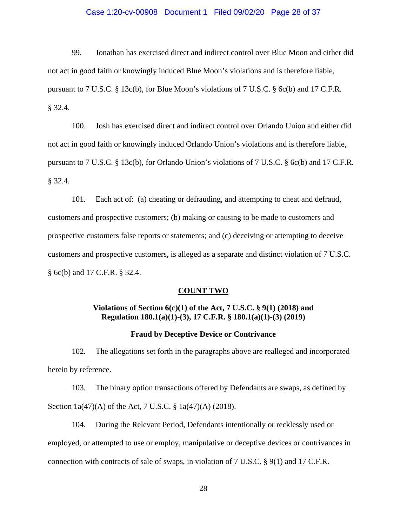## Case 1:20-cv-00908 Document 1 Filed 09/02/20 Page 28 of 37

99. Jonathan has exercised direct and indirect control over Blue Moon and either did not act in good faith or knowingly induced Blue Moon's violations and is therefore liable, pursuant to 7 U.S.C. § 13c(b), for Blue Moon's violations of 7 U.S.C. § 6c(b) and 17 C.F.R. § 32.4.

100. Josh has exercised direct and indirect control over Orlando Union and either did not act in good faith or knowingly induced Orlando Union's violations and is therefore liable, pursuant to 7 U.S.C. § 13c(b), for Orlando Union's violations of 7 U.S.C. § 6c(b) and 17 C.F.R. § 32.4.

101. Each act of: (a) cheating or defrauding, and attempting to cheat and defraud, customers and prospective customers; (b) making or causing to be made to customers and prospective customers false reports or statements; and (c) deceiving or attempting to deceive customers and prospective customers, is alleged as a separate and distinct violation of 7 U.S.C. § 6c(b) and 17 C.F.R. § 32.4.

#### **COUNT TWO**

# **Violations of Section 6(c)(1) of the Act, 7 U.S.C. § 9(1) (2018) and Regulation 180.1(a)(1)-(3), 17 C.F.R. § 180.1(a)(1)-(3) (2019)**

#### **Fraud by Deceptive Device or Contrivance**

102. The allegations set forth in the paragraphs above are realleged and incorporated herein by reference.

103. The binary option transactions offered by Defendants are swaps, as defined by Section 1a(47)(A) of the Act, 7 U.S.C. § 1a(47)(A) (2018).

104. During the Relevant Period, Defendants intentionally or recklessly used or employed, or attempted to use or employ, manipulative or deceptive devices or contrivances in connection with contracts of sale of swaps, in violation of 7 U.S.C. § 9(1) and 17 C.F.R.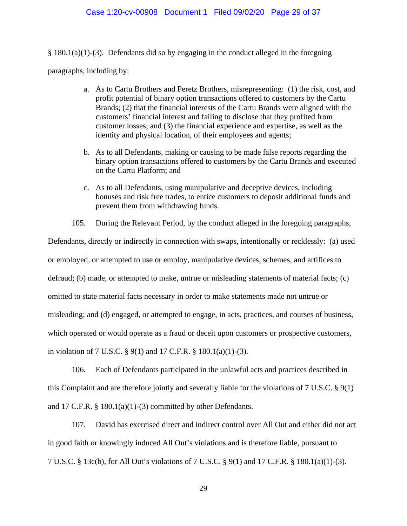#### Case 1:20-cv-00908 Document 1 Filed 09/02/20 Page 29 of 37

 $§$  180.1(a)(1)-(3). Defendants did so by engaging in the conduct alleged in the foregoing

paragraphs, including by:

- a. As to Cartu Brothers and Peretz Brothers, misrepresenting: (1) the risk, cost, and profit potential of binary option transactions offered to customers by the Cartu Brands; (2) that the financial interests of the Cartu Brands were aligned with the customers' financial interest and failing to disclose that they profited from customer losses; and (3) the financial experience and expertise, as well as the identity and physical location, of their employees and agents;
- b. As to all Defendants, making or causing to be made false reports regarding the binary option transactions offered to customers by the Cartu Brands and executed on the Cartu Platform; and
- c. As to all Defendants, using manipulative and deceptive devices, including bonuses and risk free trades, to entice customers to deposit additional funds and prevent them from withdrawing funds.
- 105. During the Relevant Period, by the conduct alleged in the foregoing paragraphs,

Defendants, directly or indirectly in connection with swaps, intentionally or recklessly: (a) used or employed, or attempted to use or employ, manipulative devices, schemes, and artifices to defraud; (b) made, or attempted to make, untrue or misleading statements of material facts; (c) omitted to state material facts necessary in order to make statements made not untrue or misleading; and (d) engaged, or attempted to engage, in acts, practices, and courses of business, which operated or would operate as a fraud or deceit upon customers or prospective customers, in violation of 7 U.S.C. § 9(1) and 17 C.F.R. § 180.1(a)(1)-(3).

106. Each of Defendants participated in the unlawful acts and practices described in this Complaint and are therefore jointly and severally liable for the violations of 7 U.S.C. § 9(1) and 17 C.F.R. § 180.1(a)(1)-(3) committed by other Defendants.

107. David has exercised direct and indirect control over All Out and either did not act in good faith or knowingly induced All Out's violations and is therefore liable, pursuant to 7 U.S.C. § 13c(b), for All Out's violations of 7 U.S.C. § 9(1) and 17 C.F.R. § 180.1(a)(1)-(3).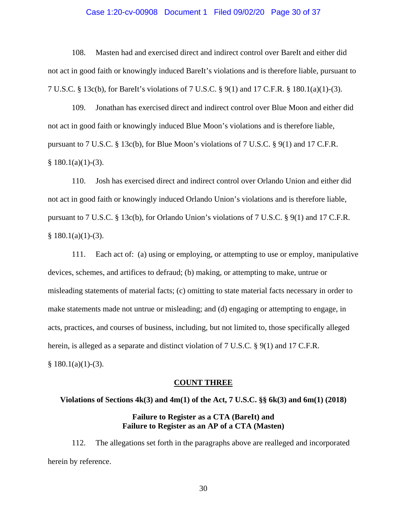#### Case 1:20-cv-00908 Document 1 Filed 09/02/20 Page 30 of 37

108. Masten had and exercised direct and indirect control over BareIt and either did not act in good faith or knowingly induced BareIt's violations and is therefore liable, pursuant to 7 U.S.C. § 13c(b), for BareIt's violations of 7 U.S.C. § 9(1) and 17 C.F.R. § 180.1(a)(1)-(3).

109. Jonathan has exercised direct and indirect control over Blue Moon and either did not act in good faith or knowingly induced Blue Moon's violations and is therefore liable, pursuant to 7 U.S.C. § 13c(b), for Blue Moon's violations of 7 U.S.C. § 9(1) and 17 C.F.R.  $§ 180.1(a)(1)-(3).$ 

110. Josh has exercised direct and indirect control over Orlando Union and either did not act in good faith or knowingly induced Orlando Union's violations and is therefore liable, pursuant to 7 U.S.C. § 13c(b), for Orlando Union's violations of 7 U.S.C. § 9(1) and 17 C.F.R.  $§ 180.1(a)(1)-(3).$ 

111. Each act of: (a) using or employing, or attempting to use or employ, manipulative devices, schemes, and artifices to defraud; (b) making, or attempting to make, untrue or misleading statements of material facts; (c) omitting to state material facts necessary in order to make statements made not untrue or misleading; and (d) engaging or attempting to engage, in acts, practices, and courses of business, including, but not limited to, those specifically alleged herein, is alleged as a separate and distinct violation of 7 U.S.C. § 9(1) and 17 C.F.R.  $§ 180.1(a)(1)-(3).$ 

#### **COUNT THREE**

# **Violations of Sections 4k(3) and 4m(1) of the Act, 7 U.S.C. §§ 6k(3) and 6m(1) (2018) Failure to Register as a CTA (BareIt) and Failure to Register as an AP of a CTA (Masten)**

112. The allegations set forth in the paragraphs above are realleged and incorporated herein by reference.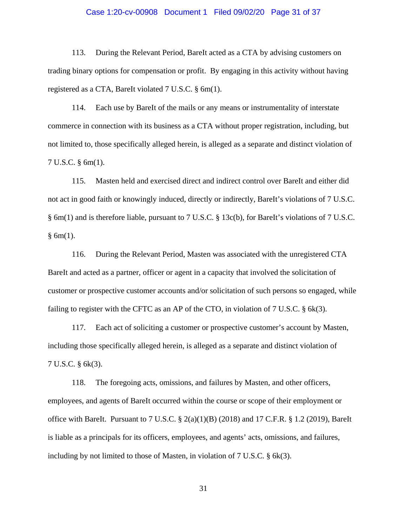#### Case 1:20-cv-00908 Document 1 Filed 09/02/20 Page 31 of 37

113. During the Relevant Period, BareIt acted as a CTA by advising customers on trading binary options for compensation or profit. By engaging in this activity without having registered as a CTA, BareIt violated 7 U.S.C. § 6m(1).

114. Each use by BareIt of the mails or any means or instrumentality of interstate commerce in connection with its business as a CTA without proper registration, including, but not limited to, those specifically alleged herein, is alleged as a separate and distinct violation of 7 U.S.C. § 6m(1).

115. Masten held and exercised direct and indirect control over BareIt and either did not act in good faith or knowingly induced, directly or indirectly, BareIt's violations of 7 U.S.C. § 6m(1) and is therefore liable, pursuant to 7 U.S.C. § 13c(b), for BareIt's violations of 7 U.S.C.  $§ 6m(1).$ 

116. During the Relevant Period, Masten was associated with the unregistered CTA BareIt and acted as a partner, officer or agent in a capacity that involved the solicitation of customer or prospective customer accounts and/or solicitation of such persons so engaged, while failing to register with the CFTC as an AP of the CTO, in violation of 7 U.S.C. § 6k(3).

117. Each act of soliciting a customer or prospective customer's account by Masten, including those specifically alleged herein, is alleged as a separate and distinct violation of 7 U.S.C. § 6k(3).

118. The foregoing acts, omissions, and failures by Masten, and other officers, employees, and agents of BareIt occurred within the course or scope of their employment or office with BareIt. Pursuant to 7 U.S.C.  $\S$  2(a)(1)(B) (2018) and 17 C.F.R.  $\S$  1.2 (2019), BareIt is liable as a principals for its officers, employees, and agents' acts, omissions, and failures, including by not limited to those of Masten, in violation of 7 U.S.C. § 6k(3).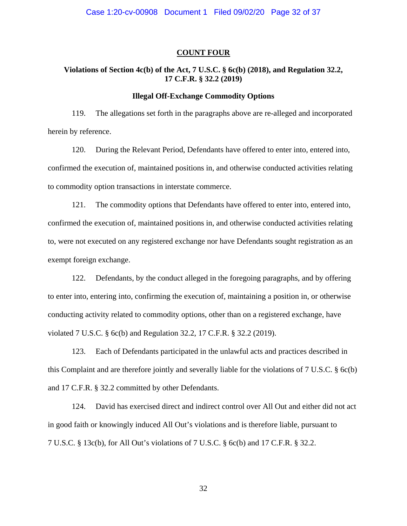#### **COUNT FOUR**

# **Violations of Section 4c(b) of the Act, 7 U.S.C. § 6c(b) (2018), and Regulation 32.2, 17 C.F.R. § 32.2 (2019)**

# **Illegal Off-Exchange Commodity Options**

119. The allegations set forth in the paragraphs above are re-alleged and incorporated herein by reference.

120. During the Relevant Period, Defendants have offered to enter into, entered into, confirmed the execution of, maintained positions in, and otherwise conducted activities relating to commodity option transactions in interstate commerce.

121. The commodity options that Defendants have offered to enter into, entered into, confirmed the execution of, maintained positions in, and otherwise conducted activities relating to, were not executed on any registered exchange nor have Defendants sought registration as an exempt foreign exchange.

122. Defendants, by the conduct alleged in the foregoing paragraphs, and by offering to enter into, entering into, confirming the execution of, maintaining a position in, or otherwise conducting activity related to commodity options, other than on a registered exchange, have violated 7 U.S.C. § 6c(b) and Regulation 32.2, 17 C.F.R. § 32.2 (2019).

123. Each of Defendants participated in the unlawful acts and practices described in this Complaint and are therefore jointly and severally liable for the violations of 7 U.S.C. § 6c(b) and 17 C.F.R. § 32.2 committed by other Defendants.

124. David has exercised direct and indirect control over All Out and either did not act in good faith or knowingly induced All Out's violations and is therefore liable, pursuant to 7 U.S.C. § 13c(b), for All Out's violations of 7 U.S.C. § 6c(b) and 17 C.F.R. § 32.2.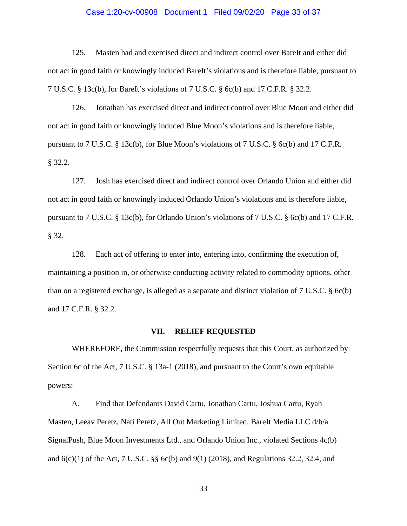#### Case 1:20-cv-00908 Document 1 Filed 09/02/20 Page 33 of 37

125. Masten had and exercised direct and indirect control over BareIt and either did not act in good faith or knowingly induced BareIt's violations and is therefore liable, pursuant to 7 U.S.C. § 13c(b), for BareIt's violations of 7 U.S.C. § 6c(b) and 17 C.F.R. § 32.2.

126. Jonathan has exercised direct and indirect control over Blue Moon and either did not act in good faith or knowingly induced Blue Moon's violations and is therefore liable, pursuant to 7 U.S.C. § 13c(b), for Blue Moon's violations of 7 U.S.C. § 6c(b) and 17 C.F.R. § 32.2.

127. Josh has exercised direct and indirect control over Orlando Union and either did not act in good faith or knowingly induced Orlando Union's violations and is therefore liable, pursuant to 7 U.S.C. § 13c(b), for Orlando Union's violations of 7 U.S.C. § 6c(b) and 17 C.F.R. § 32.

128. Each act of offering to enter into, entering into, confirming the execution of, maintaining a position in, or otherwise conducting activity related to commodity options, other than on a registered exchange, is alleged as a separate and distinct violation of 7 U.S.C. § 6c(b) and 17 C.F.R. § 32.2.

#### **VII. RELIEF REQUESTED**

WHEREFORE, the Commission respectfully requests that this Court, as authorized by Section 6c of the Act, 7 U.S.C. § 13a-1 (2018), and pursuant to the Court's own equitable powers:

A. Find that Defendants David Cartu, Jonathan Cartu, Joshua Cartu, Ryan Masten, Leeav Peretz, Nati Peretz, All Out Marketing Limited, BareIt Media LLC d/b/a SignalPush, Blue Moon Investments Ltd., and Orlando Union Inc., violated Sections 4c(b) and 6(c)(1) of the Act, 7 U.S.C. §§ 6c(b) and 9(1) (2018), and Regulations 32.2, 32.4, and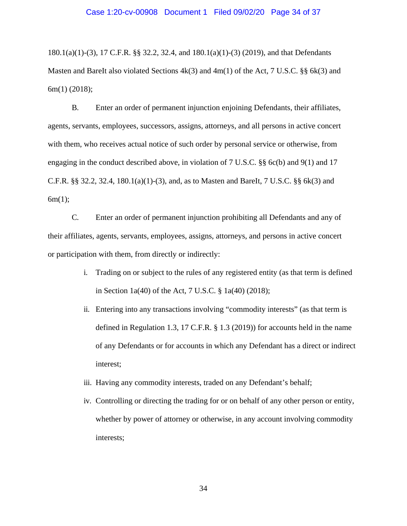180.1(a)(1)-(3), 17 C.F.R. §§ 32.2, 32.4, and 180.1(a)(1)-(3) (2019), and that Defendants Masten and BareIt also violated Sections  $4k(3)$  and  $4m(1)$  of the Act, 7 U.S.C. §§ 6k(3) and 6m(1) (2018);

B. Enter an order of permanent injunction enjoining Defendants, their affiliates, agents, servants, employees, successors, assigns, attorneys, and all persons in active concert with them, who receives actual notice of such order by personal service or otherwise, from engaging in the conduct described above, in violation of 7 U.S.C. §§ 6c(b) and 9(1) and 17 C.F.R.  $\S$  32.2, 32.4, 180.1(a)(1)-(3), and, as to Masten and BareIt, 7 U.S.C.  $\S$  6k(3) and  $6m(1);$ 

C. Enter an order of permanent injunction prohibiting all Defendants and any of their affiliates, agents, servants, employees, assigns, attorneys, and persons in active concert or participation with them, from directly or indirectly:

- i. Trading on or subject to the rules of any registered entity (as that term is defined in Section 1a(40) of the Act, 7 U.S.C. § 1a(40) (2018);
- ii. Entering into any transactions involving "commodity interests" (as that term is defined in Regulation 1.3, 17 C.F.R. § 1.3 (2019)) for accounts held in the name of any Defendants or for accounts in which any Defendant has a direct or indirect interest;
- iii. Having any commodity interests, traded on any Defendant's behalf;
- iv. Controlling or directing the trading for or on behalf of any other person or entity, whether by power of attorney or otherwise, in any account involving commodity interests;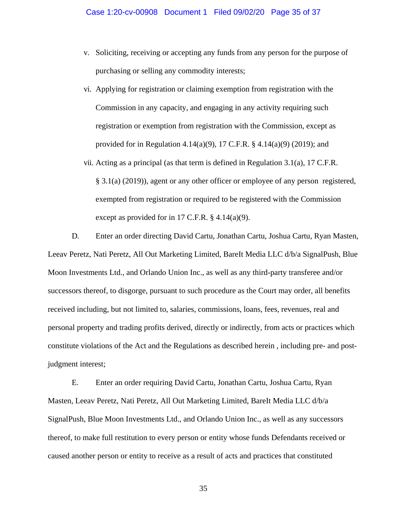- v. Soliciting, receiving or accepting any funds from any person for the purpose of purchasing or selling any commodity interests;
- vi. Applying for registration or claiming exemption from registration with the Commission in any capacity, and engaging in any activity requiring such registration or exemption from registration with the Commission, except as provided for in Regulation 4.14(a)(9), 17 C.F.R. § 4.14(a)(9) (2019); and
- vii. Acting as a principal (as that term is defined in Regulation 3.1(a), 17 C.F.R. § 3.1(a) (2019)), agent or any other officer or employee of any person registered, exempted from registration or required to be registered with the Commission except as provided for in 17 C.F.R. § 4.14(a)(9).

D. Enter an order directing David Cartu, Jonathan Cartu, Joshua Cartu, Ryan Masten, Leeav Peretz, Nati Peretz, All Out Marketing Limited, BareIt Media LLC d/b/a SignalPush, Blue Moon Investments Ltd., and Orlando Union Inc., as well as any third-party transferee and/or successors thereof, to disgorge, pursuant to such procedure as the Court may order, all benefits received including, but not limited to, salaries, commissions, loans, fees, revenues, real and personal property and trading profits derived, directly or indirectly, from acts or practices which constitute violations of the Act and the Regulations as described herein , including pre- and postjudgment interest;

E. Enter an order requiring David Cartu, Jonathan Cartu, Joshua Cartu, Ryan Masten, Leeav Peretz, Nati Peretz, All Out Marketing Limited, BareIt Media LLC d/b/a SignalPush, Blue Moon Investments Ltd., and Orlando Union Inc., as well as any successors thereof, to make full restitution to every person or entity whose funds Defendants received or caused another person or entity to receive as a result of acts and practices that constituted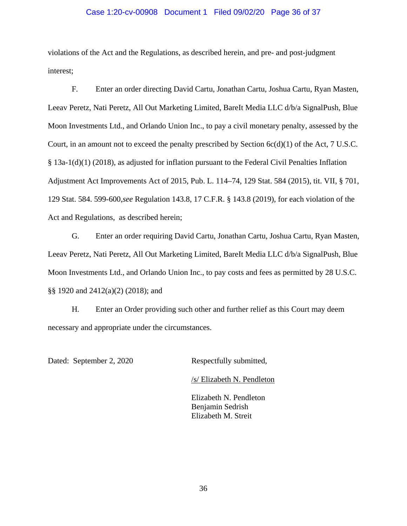## Case 1:20-cv-00908 Document 1 Filed 09/02/20 Page 36 of 37

violations of the Act and the Regulations, as described herein, and pre- and post-judgment interest;

F. Enter an order directing David Cartu, Jonathan Cartu, Joshua Cartu, Ryan Masten, Leeav Peretz, Nati Peretz, All Out Marketing Limited, BareIt Media LLC d/b/a SignalPush, Blue Moon Investments Ltd., and Orlando Union Inc., to pay a civil monetary penalty, assessed by the Court, in an amount not to exceed the penalty prescribed by Section  $6c(d)(1)$  of the Act, 7 U.S.C. § 13a-1(d)(1) (2018), as adjusted for inflation pursuant to the Federal Civil Penalties Inflation Adjustment Act Improvements Act of 2015, Pub. L. 114–74, 129 Stat. 584 (2015), tit. VII, § 701, 129 Stat. 584. 599-600,*see* Regulation 143.8, 17 C.F.R. § 143.8 (2019), for each violation of the Act and Regulations, as described herein;

G. Enter an order requiring David Cartu, Jonathan Cartu, Joshua Cartu, Ryan Masten, Leeav Peretz, Nati Peretz, All Out Marketing Limited, BareIt Media LLC d/b/a SignalPush, Blue Moon Investments Ltd., and Orlando Union Inc., to pay costs and fees as permitted by 28 U.S.C. §§ 1920 and 2412(a)(2) (2018); and

H. Enter an Order providing such other and further relief as this Court may deem necessary and appropriate under the circumstances.

Dated: September 2, 2020 Respectfully submitted,

/s/ Elizabeth N. Pendleton

Elizabeth N. Pendleton Benjamin Sedrish Elizabeth M. Streit